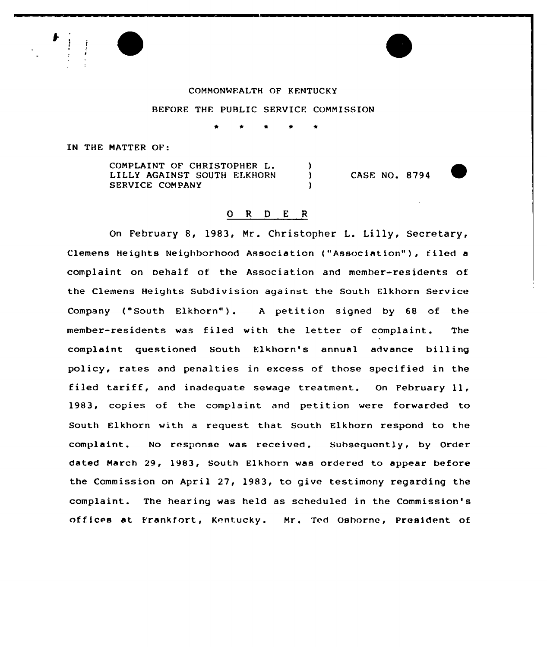#### CONMONMEALTH OF KENTUCKY

## BEFORE THE PUBLIC SERVICE CONNISSION

IN THE NATTER OF:

CONPLAINT OF CHRISTOPHER L. LILLY AGAINST SOUTH ELKHORN SERVICE CONPANY

CASE NO. 8794

# 0 R <sup>D</sup> <sup>E</sup> <sup>R</sup>

 $\mathbf{I}$ 

On February 8, 1983, Nr. Christopher L. Lilly, Secretary, Clemens Heights Neighborhood Association ("Association" ), <sup>f</sup> iled <sup>a</sup> complaint on Dehalf of the Association and member-residents of the Clemens Heights Subdivision against the South Elkhorn Service Company ("South Elkhorn"). A petition signed by 68 of the member-residents was filed with the letter of complaint. The complaint questioned South Elkhorn's annual advance billing policy, rates and penalties in excess of those specified in the filed tariff, and inadequate sewage treatment. On February 11, 1983, copies of the complaint and petition were forwarded to South Elkhorn with a request that South Elkhorn respond to the complaint. No response was received. Subsequently, by Order dated Narch 29, 1983, South Elkhorn was ordered to appear before the Commission on April 27, 1983, to give testimony regarding the complaint. The hearing was held as scheduled in the Commission ' offices at Frankfort, Kentucky. Mr. Ted Osborne, President of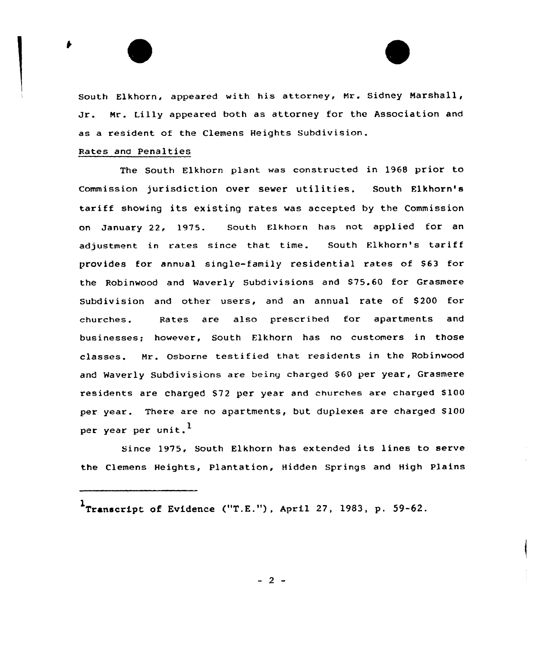South Elkhorn, appeared with his attorney, Nr. Sidney Marshall, Jr. Hr. Lilly appeared both as attorney for the Association and as a resident of the Clemens Heights Subdivision.

## Rates and Penalties

The South Elkhorn plant was constructed in 1968 prior to Commission jurisdiction over sewer utilities. South Elkhorn's tariff showing its existing rates was accepted by the Commission on January 22, 1975. South Elkhorn has not applied for an adjustment in rates since that time. South Elkhorn's tariff provides for annual single-family residential rates of 863 for the Robinwood and Waverly Subdivisions and 875.60 for Grasmere Subdivision and other users, and an annual rate of 8200 for churches. Bates are also prescribed for apartments and businesses; however, South Elkhorn has no customers in those classes. Mr. Osborne testified that residents in the Robinwood and Waverly Subdivisions are being charged \$60 per year, Grasmere residents are charged \$72 per year and churches are charged \$100 per year. There are no apartments, but duplexes are charged \$100 per year per unit.<sup>1</sup>

Since 1975, South Elkhorn has extended its lines to serve the Clemens Heights, Plantation, Hidden Springs and High Plains

 $-2$  -

 $\mathbf{1}_{\texttt{Transformer~of}}$  of Evidence ("T.E."), April 27, 1983, p. 59-62.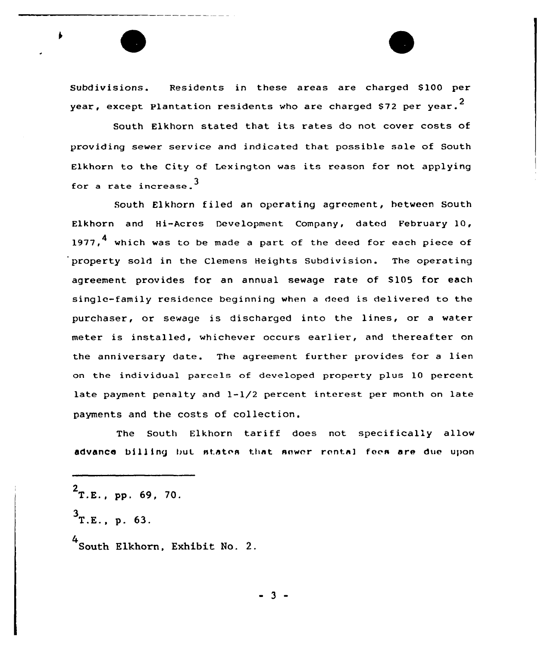Subdivisions. Residents in these areas are charged \$100 per year, except Plantation residents who are charged \$72 per year. $^{\text{2}}$ 

South Elkhorn stated that its rates do not cover costs of providing sewer service and indicated that possible sale of South Elkhorn to the City of Lexington was its reason for not applying for a rate increase.  $3$ 

South Elkhorn filed an operating agreement, hetween South Elkhorn and Hi-Acres Development Company, dated February 10, 1977.<sup>4</sup> which was to be made a part of the deed for each piece of property sold in the Clemens Heights Subdivision. The operating agreement provides for an annual sewage rate of S105 for each single-family residence beginning when a deed is delivered to the purchaser, or sewage is discharged into the lines, or <sup>a</sup> water meter is installed, whichever occurs earlier, and thereafter on the anniversary date. The agreement further provides for a lien on the individual parcels of developed property plus 10 percent late payment penalty and l-l/2 percent interest per month on late payments and the costs of collection.

The South Elkhorn tariff does not specifically allow advance billing but states that sower rental foes are due upon

 $2$ T.E., pp. 69, 70.

 $3$ T.E., p. 63.

<sup>4</sup> South Elkhorn, Exhibit No. 2.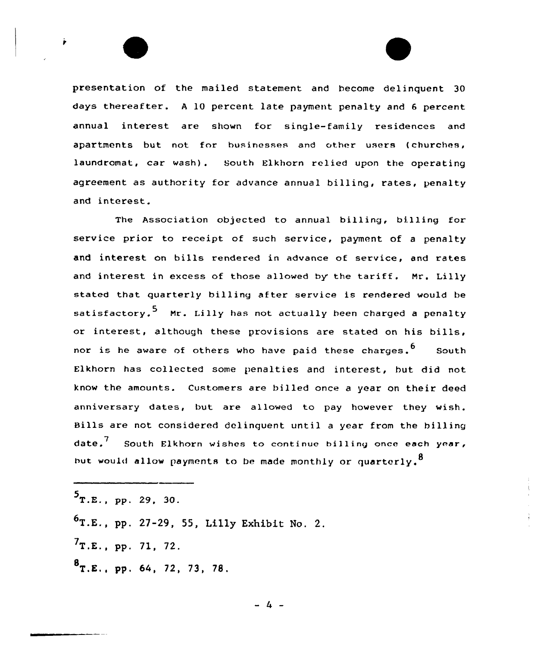

The Association objected to annual billing, billing for service prior to receipt of such service, payment of <sup>a</sup> penalty and interest on bills rendered in advance of service, and rates and interest in excess of those allowed by the tariff. Mr. Lilly stated that quarterly billing after service is rendered would be satisfactory.<sup>5</sup> Mr. Lilly has not actually been charged a penalty or interest, although these provisions are stated on his bills, nor is he aware of others who have paid these charges.  $6$  South Elkhorn has collected some penalties and interest, hut did not know the amounts. Customers are billed once a year on their deed anniversary dates, but are allowed to pay however they wish. Bills are not considered delinquent until <sup>a</sup> year from the billing date.<sup>7</sup> South Elkhorn wishes to continue billing once each year, but would allow payments to be made monthly or quarterly.<sup>8</sup>

 $5$ T.E., pp. 29, 30.  $^{6}$ T.E., pp. 27-29, 55, Lilly Exhibit No. 2.  $7T.E., pp. 71, 72.$  $B_{T.E., pp. 64, 72, 73, 78.}$ 

 $-4$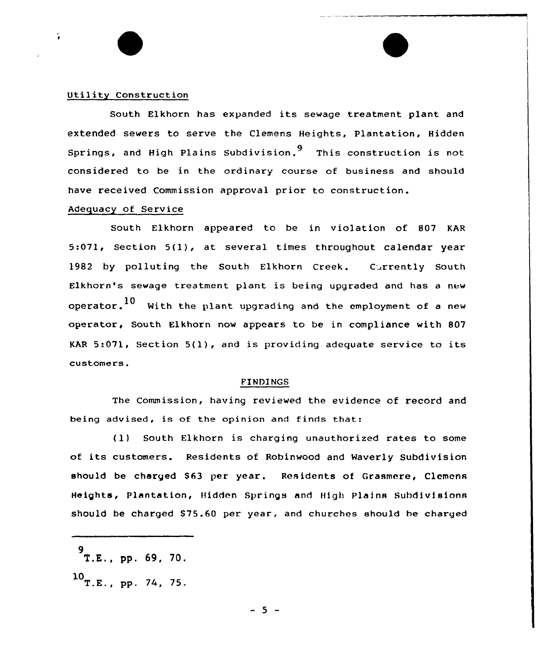#### Utility Construction

South Elkhorn has expanded its sewage treatment plant and extended sewers to serve the Clemens Heights, plantation, Hidden Springs, and High Plains Subdivision. This construction is not considered to be in the ordinary course of business and should have received Commission approval prior to construction.

## Adequacy of Service

South Elkhorn appeared to be in violation of 807 KAR 5:071, Section 5(1), at several times throughout calendar year 1982 by polluting the South Elkhorn Creek. Currently South Elkhorn's sewage treatment plant is being upgraded and has <sup>a</sup> new operator. $^{10}$  . With the plant upgrading and the employment of a new operator, South Elkhorn now appears to be in compliance with 807 KAR 5:071, Section 5(1}, and is providing adequate service to its customers.

#### FINDINGS

The Commission, having reviewed the evidence of record and being advised, is of the opinion and finds that:

(1) South Elkhorn is charging unauthorized rates to some of its customers. Residents of Robinwood and Waverly Subdivision should be charged \$63 per year. Residents of Grasmere, Clemens Heights, Plantation, Hidden Springs and High Plains Subdivisions should be charged \$75.60 per year, and churches should be charged

<sup>9&</sup>lt;br>T.E., pp. 69, 70.

 $10$ <sub>T.E., pp. 74, 75.</sub>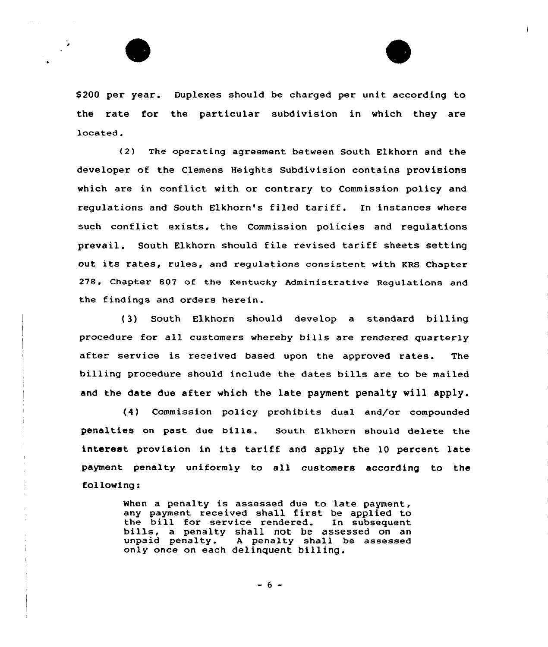



\$ 200 per year. Duplexes should be charged per unit according to the rate for the particular subdivision in which they are located.

<2) The operating agreement between South Elkhorn and the developer of the Clemens Heights Subdivision contains provisions which are in conflict with or contrary to Commission policy and regulations and South Elkhorn's filed tariff. In instances where such conflict exists, the Commission policies and regulations prevail. South Elkhorn should file revised tariff sheets setting out its rates, rules, and regulations consistent with KRS Chapter 278, Chapter 807 of the Kentucky Administrative Regulations and the findings and orders herein.

(3) South Elkhorn should develop a standard billing procedure for all customers whereby bills are rendered quarterly after service is received based upon the approved rates. The billing procedure should include the dates bills are to be mailed and the date due after which the late payment penalty vill apply.

(4) Commission policy prohibits dual and/or compounded penalties on past due bills. South Elkharn should delete the interest provision in its tariff and apply the 10 percent late payment penalty uniformly to all customers according to the following:

> When a penalty is assessed due to late payment, any payment received shall first be applied to the bill for service rendered. In subsequent bills, a penalty shall not be assessed on an<br>unpaid penalty. A penalty shall be assessed A penalty shall be assessed only once on each delinquent billing.

> > $-6 -$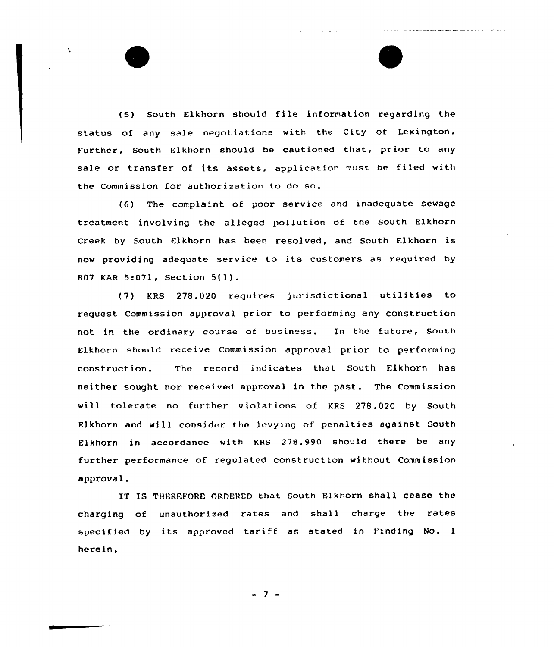(5) South Elkhorn should file information regarding the status of any sale negotiations with the City of Lexington. Further, South Flkhorn should be cautioned that, prior to any sale or transfer of its assets, application must be filed with the Commission for authorization to do so.

(6) The complaint of poor service and inadequate sewage treatment involving the alleged pollution of the South Elkhorn Creek by South Flkhorn has been resolved, and South Elkhorn is now providing adequate service to its customers as required by <sup>807</sup> KAR 5:071, Section 5(l}.

(7) KRS 278.020 requires jurisdictional utilities to request Commission approval prior to performing any construction not in the ordinary course of business. In the future, South Elkhorn should receive Commission approval prior to performing construction. The record indicates that South Elkhorn has neither sought nor received approval in the past. The Commission will tolerate no further violations of KRS 27B.020 by South Flkhorn and will consider the levying of penalties against South Elkhorn in accordance with KRS 278.990 should there be any further performance of regulated construction without Commission approval.

IT IS THEREFORE ORDERED that South Elkhorn shall cease the charging of unauthorized rates and shall charge the rates specified by its approved tariff as stated in Finding No. <sup>1</sup> herein.

 $-7 -$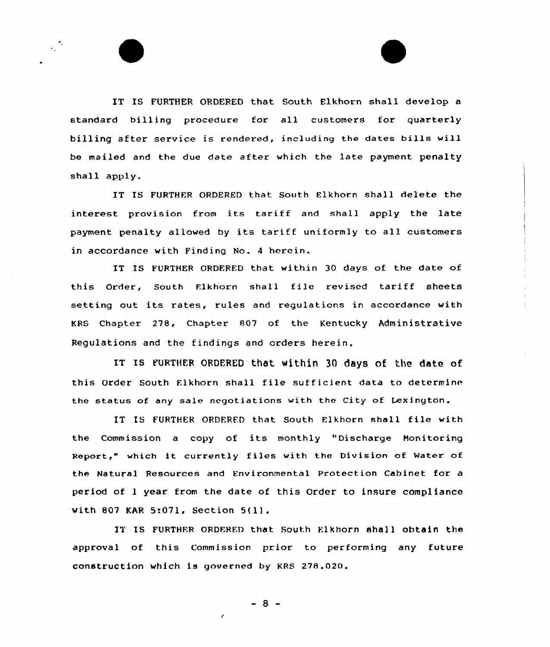IT IS FURTHER ORDERED that South Elkhorn shall develop a standard billing procedure for all customers for quarterly billing after service is rendered, including the dates bills will be mailed and the due date after which the late payment penalty shall apply.

IT IS FURTHER ORDERED that South Elkhorn shall delete the interest provision from its tariff and shall apply the late payment penalty allowed by its tariff uniformly to all customers in accordance with Finding No. 4 herein.

IT IS FURTHER ORDERED that within 30 days of the date of this Order, South Elkhorn shall file revised tariff sheets setting out its rates, rules and regulations in accordance with KRS Chapter 278, Chapter 807 of the Kentucky Administrative Regulations and the findings and orders herein.

IT IS FURTHER ORDERED that within 30 days Of the date of this Order South Elkharn shall file sufficient data to determine the status of any sale negotiations with the City of Lexington.

IT IS FURTHER ORDFRFD that South Elkhorn shall file with the Commission <sup>a</sup> copy of its monthly "Discharge Monitoring Report," which it currently f iles with the Division of Mater of the Natural Resources and Environmental Protection Cabinet for a period of <sup>1</sup> year from the date af this Order to insure compliance with <sup>807</sup> KAR 5:071, Section 5(l) .

IT IS FURTHER ORDERFD that South Elkhorn shall obtain the approval of this Commission prior to performing any future construction which is governed by KRS 278.020.

 $-8 -$ 

 $\pmb{\prime}$